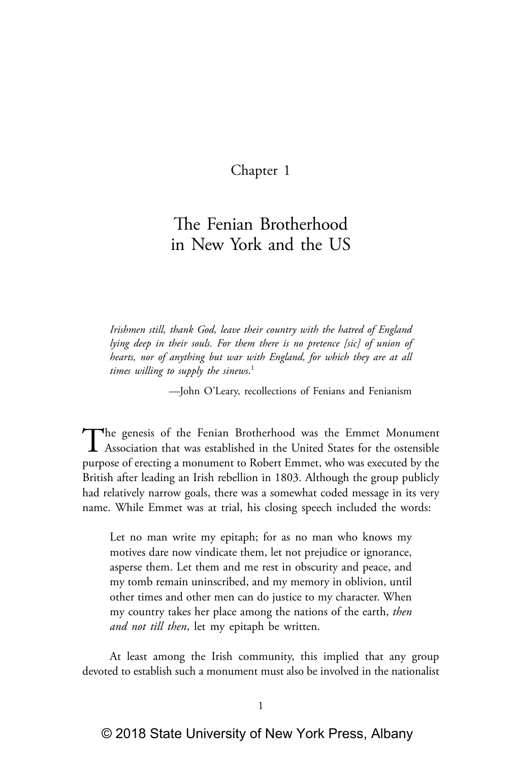# Chapter 1

# The Fenian Brotherhood in New York and the US

*Irishmen still, thank God, leave their country with the hatred of England lying deep in their souls. For them there is no pretence [sic] of union of hearts, nor of anything but war with England, for which they are at all times willing to supply the sinews*. 1

—John O'Leary, recollections of Fenians and Fenianism

The genesis of the Fenian Brotherhood was the Emmet Monument<br>Association that was established in the United States for the ostensible purpose of erecting a monument to Robert Emmet, who was executed by the British after leading an Irish rebellion in 1803. Although the group publicly had relatively narrow goals, there was a somewhat coded message in its very name. While Emmet was at trial, his closing speech included the words:

Let no man write my epitaph; for as no man who knows my motives dare now vindicate them, let not prejudice or ignorance, asperse them. Let them and me rest in obscurity and peace, and my tomb remain uninscribed, and my memory in oblivion, until other times and other men can do justice to my character. When my country takes her place among the nations of the earth, *then and not till then*, let my epitaph be written.

At least among the Irish community, this implied that any group devoted to establish such a monument must also be involved in the nationalist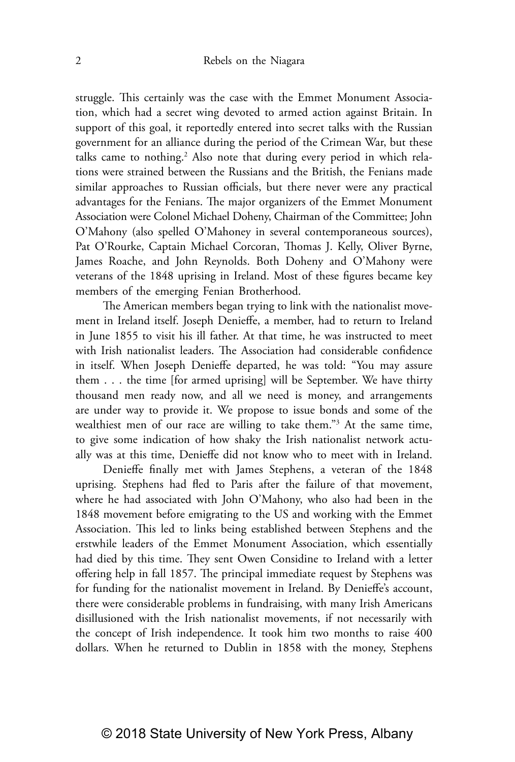struggle. This certainly was the case with the Emmet Monument Association, which had a secret wing devoted to armed action against Britain. In support of this goal, it reportedly entered into secret talks with the Russian government for an alliance during the period of the Crimean War, but these talks came to nothing.<sup>2</sup> Also note that during every period in which relations were strained between the Russians and the British, the Fenians made similar approaches to Russian officials, but there never were any practical advantages for the Fenians. The major organizers of the Emmet Monument Association were Colonel Michael Doheny, Chairman of the Committee; John O'Mahony (also spelled O'Mahoney in several contemporaneous sources), Pat O'Rourke, Captain Michael Corcoran, Thomas J. Kelly, Oliver Byrne, James Roache, and John Reynolds. Both Doheny and O'Mahony were veterans of the 1848 uprising in Ireland. Most of these figures became key members of the emerging Fenian Brotherhood.

The American members began trying to link with the nationalist movement in Ireland itself. Joseph Denieffe, a member, had to return to Ireland in June 1855 to visit his ill father. At that time, he was instructed to meet with Irish nationalist leaders. The Association had considerable confidence in itself. When Joseph Denieffe departed, he was told: "You may assure them . . . the time [for armed uprising] will be September. We have thirty thousand men ready now, and all we need is money, and arrangements are under way to provide it. We propose to issue bonds and some of the wealthiest men of our race are willing to take them."3 At the same time, to give some indication of how shaky the Irish nationalist network actually was at this time, Denieffe did not know who to meet with in Ireland.

Denieffe finally met with James Stephens, a veteran of the 1848 uprising. Stephens had fled to Paris after the failure of that movement, where he had associated with John O'Mahony, who also had been in the 1848 movement before emigrating to the US and working with the Emmet Association. This led to links being established between Stephens and the erstwhile leaders of the Emmet Monument Association, which essentially had died by this time. They sent Owen Considine to Ireland with a letter offering help in fall 1857. The principal immediate request by Stephens was for funding for the nationalist movement in Ireland. By Denieffe's account, there were considerable problems in fundraising, with many Irish Americans disillusioned with the Irish nationalist movements, if not necessarily with the concept of Irish independence. It took him two months to raise 400 dollars. When he returned to Dublin in 1858 with the money, Stephens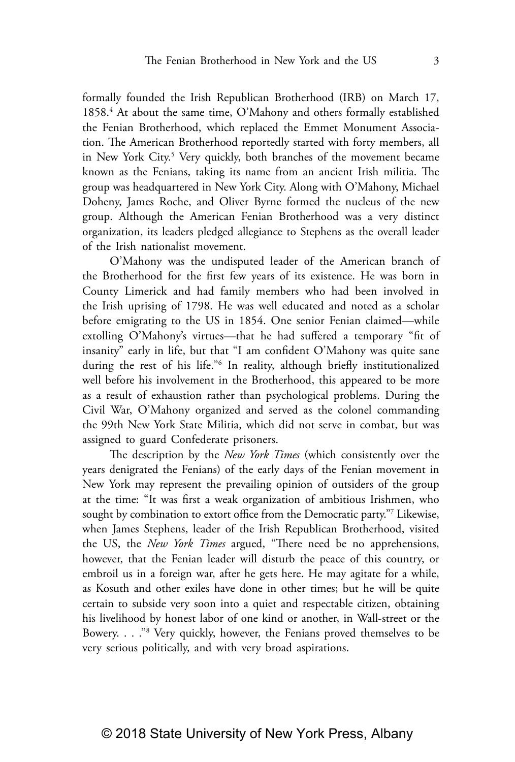formally founded the Irish Republican Brotherhood (IRB) on March 17, 1858.<sup>4</sup> At about the same time, O'Mahony and others formally established the Fenian Brotherhood, which replaced the Emmet Monument Association. The American Brotherhood reportedly started with forty members, all in New York City.<sup>5</sup> Very quickly, both branches of the movement became known as the Fenians, taking its name from an ancient Irish militia. The group was headquartered in New York City. Along with O'Mahony, Michael Doheny, James Roche, and Oliver Byrne formed the nucleus of the new group. Although the American Fenian Brotherhood was a very distinct organization, its leaders pledged allegiance to Stephens as the overall leader of the Irish nationalist movement.

O'Mahony was the undisputed leader of the American branch of the Brotherhood for the first few years of its existence. He was born in County Limerick and had family members who had been involved in the Irish uprising of 1798. He was well educated and noted as a scholar before emigrating to the US in 1854. One senior Fenian claimed—while extolling O'Mahony's virtues—that he had suffered a temporary "fit of insanity" early in life, but that "I am confident O'Mahony was quite sane during the rest of his life."6 In reality, although briefly institutionalized well before his involvement in the Brotherhood, this appeared to be more as a result of exhaustion rather than psychological problems. During the Civil War, O'Mahony organized and served as the colonel commanding the 99th New York State Militia, which did not serve in combat, but was assigned to guard Confederate prisoners.

The description by the *New York Times* (which consistently over the years denigrated the Fenians) of the early days of the Fenian movement in New York may represent the prevailing opinion of outsiders of the group at the time: "It was first a weak organization of ambitious Irishmen, who sought by combination to extort office from the Democratic party."7 Likewise, when James Stephens, leader of the Irish Republican Brotherhood, visited the US, the *New York Times* argued, "There need be no apprehensions, however, that the Fenian leader will disturb the peace of this country, or embroil us in a foreign war, after he gets here. He may agitate for a while, as Kosuth and other exiles have done in other times; but he will be quite certain to subside very soon into a quiet and respectable citizen, obtaining his livelihood by honest labor of one kind or another, in Wall-street or the Bowery. . . ."8 Very quickly, however, the Fenians proved themselves to be very serious politically, and with very broad aspirations.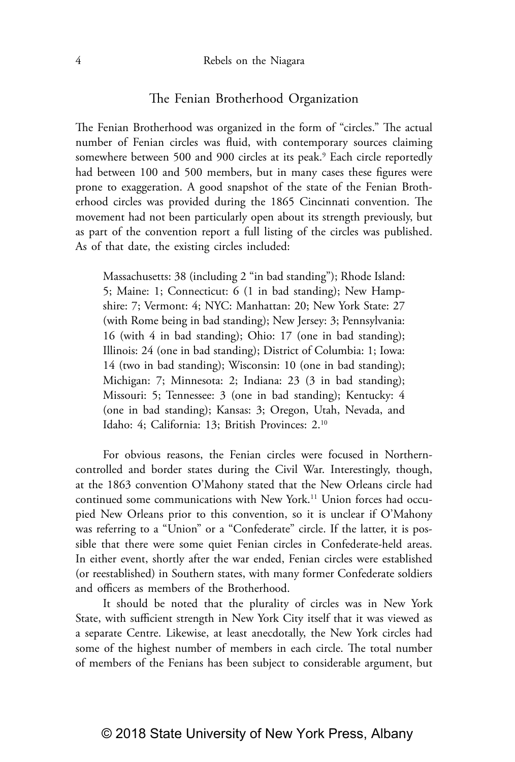## The Fenian Brotherhood Organization

The Fenian Brotherhood was organized in the form of "circles." The actual number of Fenian circles was fluid, with contemporary sources claiming somewhere between 500 and 900 circles at its peak.<sup>9</sup> Each circle reportedly had between 100 and 500 members, but in many cases these figures were prone to exaggeration. A good snapshot of the state of the Fenian Brotherhood circles was provided during the 1865 Cincinnati convention. The movement had not been particularly open about its strength previously, but as part of the convention report a full listing of the circles was published. As of that date, the existing circles included:

Massachusetts: 38 (including 2 "in bad standing"); Rhode Island: 5; Maine: 1; Connecticut: 6 (1 in bad standing); New Hampshire: 7; Vermont: 4; NYC: Manhattan: 20; New York State: 27 (with Rome being in bad standing); New Jersey: 3; Pennsylvania: 16 (with 4 in bad standing); Ohio: 17 (one in bad standing); Illinois: 24 (one in bad standing); District of Columbia: 1; Iowa: 14 (two in bad standing); Wisconsin: 10 (one in bad standing); Michigan: 7; Minnesota: 2; Indiana: 23 (3 in bad standing); Missouri: 5; Tennessee: 3 (one in bad standing); Kentucky: 4 (one in bad standing); Kansas: 3; Oregon, Utah, Nevada, and Idaho: 4; California: 13; British Provinces: 2.10

For obvious reasons, the Fenian circles were focused in Northerncontrolled and border states during the Civil War. Interestingly, though, at the 1863 convention O'Mahony stated that the New Orleans circle had continued some communications with New York.<sup>11</sup> Union forces had occupied New Orleans prior to this convention, so it is unclear if O'Mahony was referring to a "Union" or a "Confederate" circle. If the latter, it is possible that there were some quiet Fenian circles in Confederate-held areas. In either event, shortly after the war ended, Fenian circles were established (or reestablished) in Southern states, with many former Confederate soldiers and officers as members of the Brotherhood.

It should be noted that the plurality of circles was in New York State, with sufficient strength in New York City itself that it was viewed as a separate Centre. Likewise, at least anecdotally, the New York circles had some of the highest number of members in each circle. The total number of members of the Fenians has been subject to considerable argument, but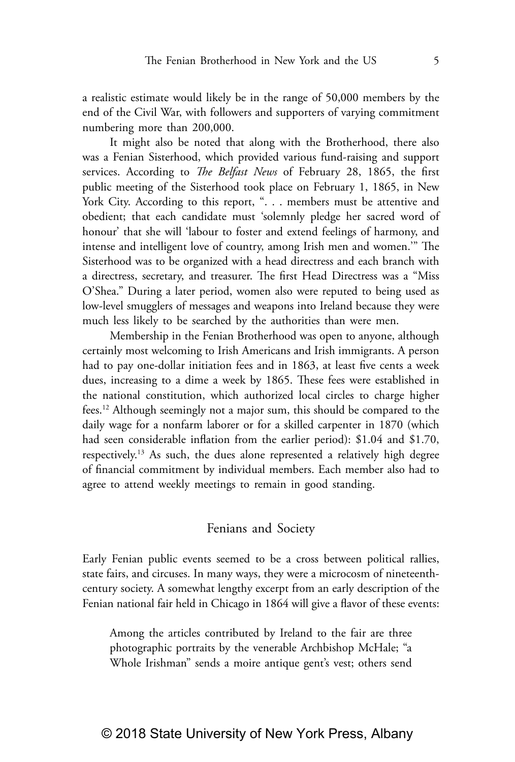a realistic estimate would likely be in the range of 50,000 members by the end of the Civil War, with followers and supporters of varying commitment numbering more than 200,000.

It might also be noted that along with the Brotherhood, there also was a Fenian Sisterhood, which provided various fund-raising and support services. According to *The Belfast News* of February 28, 1865, the first public meeting of the Sisterhood took place on February 1, 1865, in New York City. According to this report, ". . . members must be attentive and obedient; that each candidate must 'solemnly pledge her sacred word of honour' that she will 'labour to foster and extend feelings of harmony, and intense and intelligent love of country, among Irish men and women.'" The Sisterhood was to be organized with a head directress and each branch with a directress, secretary, and treasurer. The first Head Directress was a "Miss O'Shea." During a later period, women also were reputed to being used as low-level smugglers of messages and weapons into Ireland because they were much less likely to be searched by the authorities than were men.

Membership in the Fenian Brotherhood was open to anyone, although certainly most welcoming to Irish Americans and Irish immigrants. A person had to pay one-dollar initiation fees and in 1863, at least five cents a week dues, increasing to a dime a week by 1865. These fees were established in the national constitution, which authorized local circles to charge higher fees.12 Although seemingly not a major sum, this should be compared to the daily wage for a nonfarm laborer or for a skilled carpenter in 1870 (which had seen considerable inflation from the earlier period): \$1.04 and \$1.70, respectively.13 As such, the dues alone represented a relatively high degree of financial commitment by individual members. Each member also had to agree to attend weekly meetings to remain in good standing.

#### Fenians and Society

Early Fenian public events seemed to be a cross between political rallies, state fairs, and circuses. In many ways, they were a microcosm of nineteenthcentury society. A somewhat lengthy excerpt from an early description of the Fenian national fair held in Chicago in 1864 will give a flavor of these events:

Among the articles contributed by Ireland to the fair are three photographic portraits by the venerable Archbishop McHale; "a Whole Irishman" sends a moire antique gent's vest; others send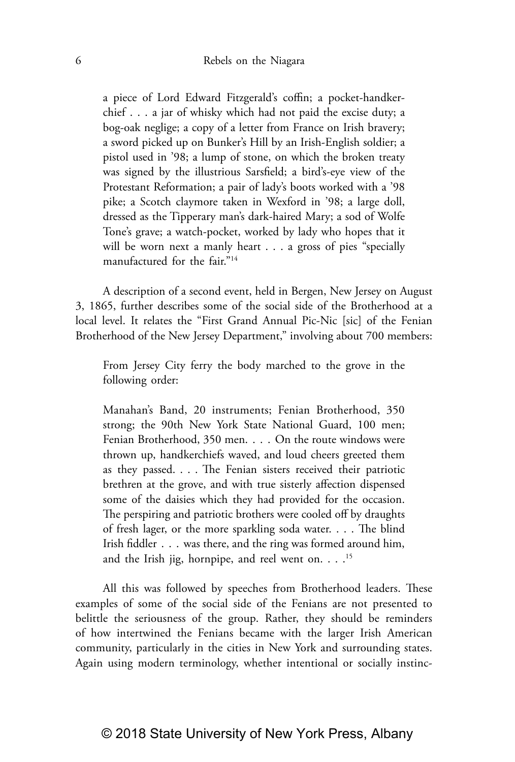a piece of Lord Edward Fitzgerald's coffin; a pocket-handkerchief . . . a jar of whisky which had not paid the excise duty; a bog-oak neglige; a copy of a letter from France on Irish bravery; a sword picked up on Bunker's Hill by an Irish-English soldier; a pistol used in '98; a lump of stone, on which the broken treaty was signed by the illustrious Sarsfield; a bird's-eye view of the Protestant Reformation; a pair of lady's boots worked with a '98 pike; a Scotch claymore taken in Wexford in '98; a large doll, dressed as the Tipperary man's dark-haired Mary; a sod of Wolfe Tone's grave; a watch-pocket, worked by lady who hopes that it will be worn next a manly heart . . . a gross of pies "specially manufactured for the fair."14

A description of a second event, held in Bergen, New Jersey on August 3, 1865, further describes some of the social side of the Brotherhood at a local level. It relates the "First Grand Annual Pic-Nic [sic] of the Fenian Brotherhood of the New Jersey Department," involving about 700 members:

From Jersey City ferry the body marched to the grove in the following order:

Manahan's Band, 20 instruments; Fenian Brotherhood, 350 strong; the 90th New York State National Guard, 100 men; Fenian Brotherhood, 350 men. . . . On the route windows were thrown up, handkerchiefs waved, and loud cheers greeted them as they passed. . . . The Fenian sisters received their patriotic brethren at the grove, and with true sisterly affection dispensed some of the daisies which they had provided for the occasion. The perspiring and patriotic brothers were cooled off by draughts of fresh lager, or the more sparkling soda water. . . . The blind Irish fiddler . . . was there, and the ring was formed around him, and the Irish jig, hornpipe, and reel went on.  $\ldots$ <sup>15</sup>

All this was followed by speeches from Brotherhood leaders. These examples of some of the social side of the Fenians are not presented to belittle the seriousness of the group. Rather, they should be reminders of how intertwined the Fenians became with the larger Irish American community, particularly in the cities in New York and surrounding states. Again using modern terminology, whether intentional or socially instinc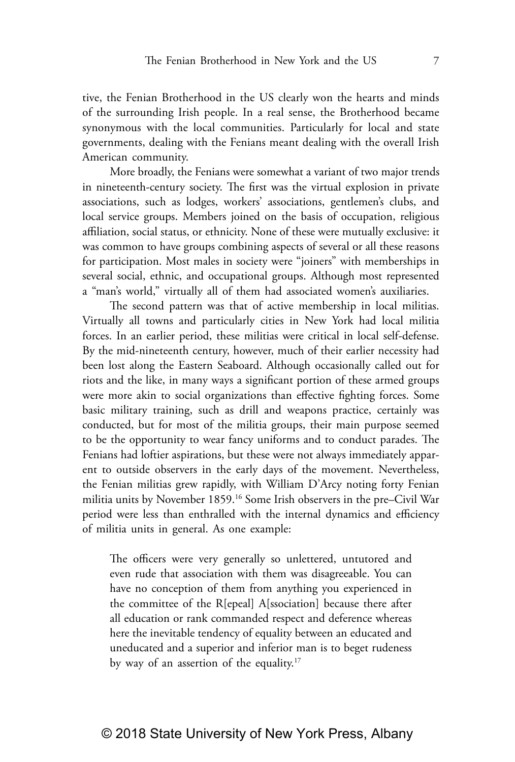tive, the Fenian Brotherhood in the US clearly won the hearts and minds of the surrounding Irish people. In a real sense, the Brotherhood became synonymous with the local communities. Particularly for local and state governments, dealing with the Fenians meant dealing with the overall Irish American community.

More broadly, the Fenians were somewhat a variant of two major trends in nineteenth-century society. The first was the virtual explosion in private associations, such as lodges, workers' associations, gentlemen's clubs, and local service groups. Members joined on the basis of occupation, religious affiliation, social status, or ethnicity. None of these were mutually exclusive: it was common to have groups combining aspects of several or all these reasons for participation. Most males in society were "joiners" with memberships in several social, ethnic, and occupational groups. Although most represented a "man's world," virtually all of them had associated women's auxiliaries.

The second pattern was that of active membership in local militias. Virtually all towns and particularly cities in New York had local militia forces. In an earlier period, these militias were critical in local self-defense. By the mid-nineteenth century, however, much of their earlier necessity had been lost along the Eastern Seaboard. Although occasionally called out for riots and the like, in many ways a significant portion of these armed groups were more akin to social organizations than effective fighting forces. Some basic military training, such as drill and weapons practice, certainly was conducted, but for most of the militia groups, their main purpose seemed to be the opportunity to wear fancy uniforms and to conduct parades. The Fenians had loftier aspirations, but these were not always immediately apparent to outside observers in the early days of the movement. Nevertheless, the Fenian militias grew rapidly, with William D'Arcy noting forty Fenian militia units by November 1859.16 Some Irish observers in the pre–Civil War period were less than enthralled with the internal dynamics and efficiency of militia units in general. As one example:

The officers were very generally so unlettered, untutored and even rude that association with them was disagreeable. You can have no conception of them from anything you experienced in the committee of the R[epeal] A[ssociation] because there after all education or rank commanded respect and deference whereas here the inevitable tendency of equality between an educated and uneducated and a superior and inferior man is to beget rudeness by way of an assertion of the equality.<sup>17</sup>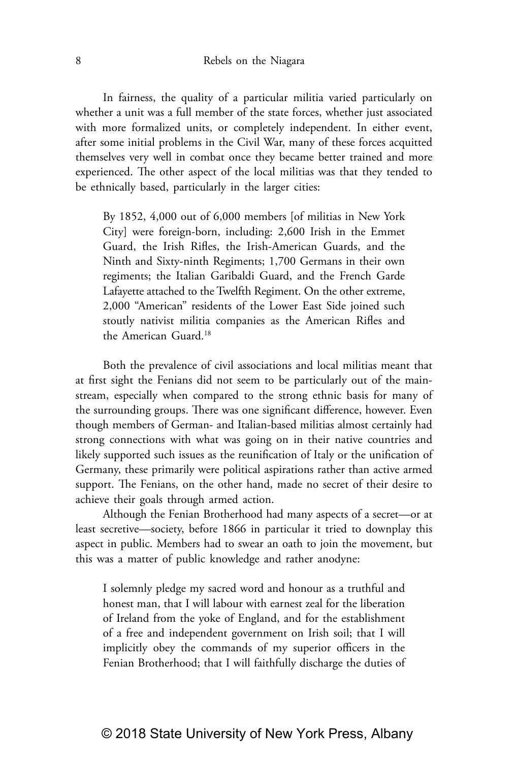In fairness, the quality of a particular militia varied particularly on whether a unit was a full member of the state forces, whether just associated with more formalized units, or completely independent. In either event, after some initial problems in the Civil War, many of these forces acquitted themselves very well in combat once they became better trained and more experienced. The other aspect of the local militias was that they tended to be ethnically based, particularly in the larger cities:

By 1852, 4,000 out of 6,000 members [of militias in New York City] were foreign-born, including: 2,600 Irish in the Emmet Guard, the Irish Rifles, the Irish-American Guards, and the Ninth and Sixty-ninth Regiments; 1,700 Germans in their own regiments; the Italian Garibaldi Guard, and the French Garde Lafayette attached to the Twelfth Regiment. On the other extreme, 2,000 "American" residents of the Lower East Side joined such stoutly nativist militia companies as the American Rifles and the American Guard.18

Both the prevalence of civil associations and local militias meant that at first sight the Fenians did not seem to be particularly out of the mainstream, especially when compared to the strong ethnic basis for many of the surrounding groups. There was one significant difference, however. Even though members of German- and Italian-based militias almost certainly had strong connections with what was going on in their native countries and likely supported such issues as the reunification of Italy or the unification of Germany, these primarily were political aspirations rather than active armed support. The Fenians, on the other hand, made no secret of their desire to achieve their goals through armed action.

Although the Fenian Brotherhood had many aspects of a secret—or at least secretive—society, before 1866 in particular it tried to downplay this aspect in public. Members had to swear an oath to join the movement, but this was a matter of public knowledge and rather anodyne:

I solemnly pledge my sacred word and honour as a truthful and honest man, that I will labour with earnest zeal for the liberation of Ireland from the yoke of England, and for the establishment of a free and independent government on Irish soil; that I will implicitly obey the commands of my superior officers in the Fenian Brotherhood; that I will faithfully discharge the duties of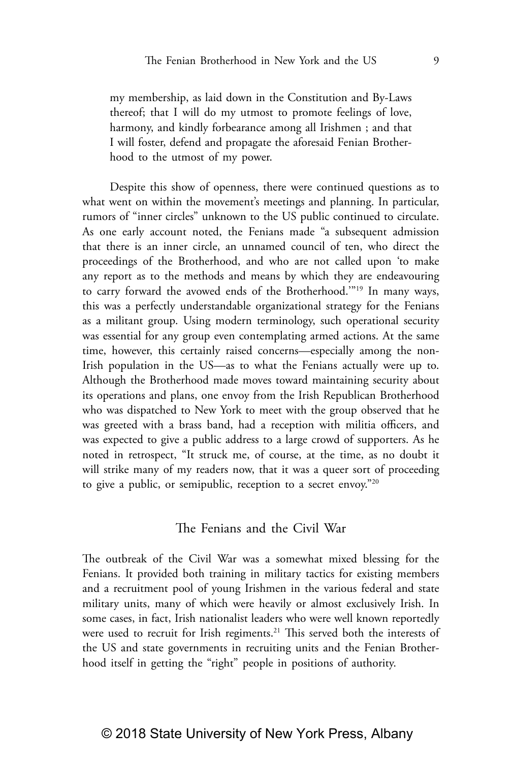my membership, as laid down in the Constitution and By-Laws thereof; that I will do my utmost to promote feelings of love, harmony, and kindly forbearance among all Irishmen ; and that I will foster, defend and propagate the aforesaid Fenian Brotherhood to the utmost of my power.

Despite this show of openness, there were continued questions as to what went on within the movement's meetings and planning. In particular, rumors of "inner circles" unknown to the US public continued to circulate. As one early account noted, the Fenians made "a subsequent admission that there is an inner circle, an unnamed council of ten, who direct the proceedings of the Brotherhood, and who are not called upon 'to make any report as to the methods and means by which they are endeavouring to carry forward the avowed ends of the Brotherhood.'"19 In many ways, this was a perfectly understandable organizational strategy for the Fenians as a militant group. Using modern terminology, such operational security was essential for any group even contemplating armed actions. At the same time, however, this certainly raised concerns—especially among the non-Irish population in the US—as to what the Fenians actually were up to. Although the Brotherhood made moves toward maintaining security about its operations and plans, one envoy from the Irish Republican Brotherhood who was dispatched to New York to meet with the group observed that he was greeted with a brass band, had a reception with militia officers, and was expected to give a public address to a large crowd of supporters. As he noted in retrospect, "It struck me, of course, at the time, as no doubt it will strike many of my readers now, that it was a queer sort of proceeding to give a public, or semipublic, reception to a secret envoy."20

## The Fenians and the Civil War

The outbreak of the Civil War was a somewhat mixed blessing for the Fenians. It provided both training in military tactics for existing members and a recruitment pool of young Irishmen in the various federal and state military units, many of which were heavily or almost exclusively Irish. In some cases, in fact, Irish nationalist leaders who were well known reportedly were used to recruit for Irish regiments.<sup>21</sup> This served both the interests of the US and state governments in recruiting units and the Fenian Brotherhood itself in getting the "right" people in positions of authority.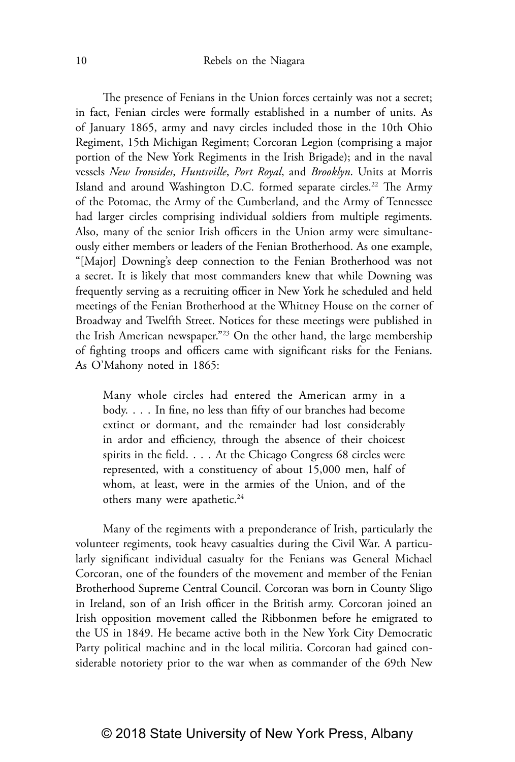The presence of Fenians in the Union forces certainly was not a secret; in fact, Fenian circles were formally established in a number of units. As of January 1865, army and navy circles included those in the 10th Ohio Regiment, 15th Michigan Regiment; Corcoran Legion (comprising a major portion of the New York Regiments in the Irish Brigade); and in the naval vessels *New Ironsides*, *Huntsville*, *Port Royal*, and *Brooklyn*. Units at Morris Island and around Washington D.C. formed separate circles.<sup>22</sup> The Army of the Potomac, the Army of the Cumberland, and the Army of Tennessee had larger circles comprising individual soldiers from multiple regiments. Also, many of the senior Irish officers in the Union army were simultaneously either members or leaders of the Fenian Brotherhood. As one example, "[Major] Downing's deep connection to the Fenian Brotherhood was not a secret. It is likely that most commanders knew that while Downing was frequently serving as a recruiting officer in New York he scheduled and held meetings of the Fenian Brotherhood at the Whitney House on the corner of Broadway and Twelfth Street. Notices for these meetings were published in the Irish American newspaper."23 On the other hand, the large membership of fighting troops and officers came with significant risks for the Fenians. As O'Mahony noted in 1865:

Many whole circles had entered the American army in a body. . . . In fine, no less than fifty of our branches had become extinct or dormant, and the remainder had lost considerably in ardor and efficiency, through the absence of their choicest spirits in the field. . . . At the Chicago Congress 68 circles were represented, with a constituency of about 15,000 men, half of whom, at least, were in the armies of the Union, and of the others many were apathetic.<sup>24</sup>

Many of the regiments with a preponderance of Irish, particularly the volunteer regiments, took heavy casualties during the Civil War. A particularly significant individual casualty for the Fenians was General Michael Corcoran, one of the founders of the movement and member of the Fenian Brotherhood Supreme Central Council. Corcoran was born in County Sligo in Ireland, son of an Irish officer in the British army. Corcoran joined an Irish opposition movement called the Ribbonmen before he emigrated to the US in 1849. He became active both in the New York City Democratic Party political machine and in the local militia. Corcoran had gained considerable notoriety prior to the war when as commander of the 69th New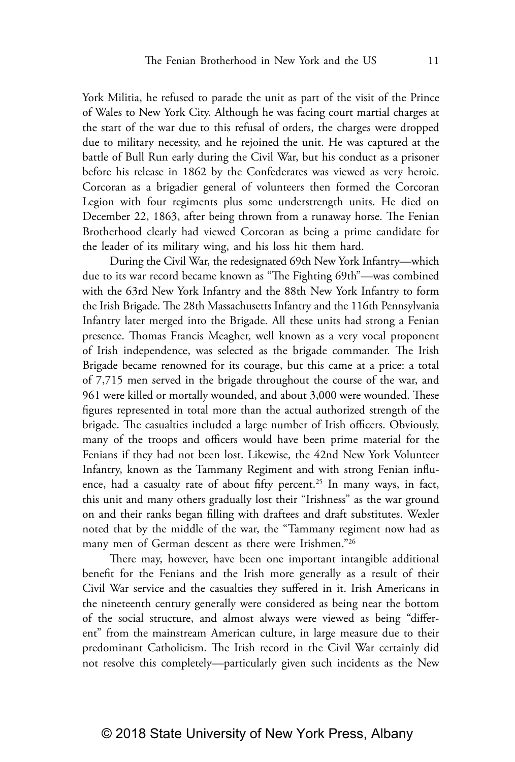York Militia, he refused to parade the unit as part of the visit of the Prince of Wales to New York City. Although he was facing court martial charges at the start of the war due to this refusal of orders, the charges were dropped due to military necessity, and he rejoined the unit. He was captured at the battle of Bull Run early during the Civil War, but his conduct as a prisoner before his release in 1862 by the Confederates was viewed as very heroic. Corcoran as a brigadier general of volunteers then formed the Corcoran Legion with four regiments plus some understrength units. He died on December 22, 1863, after being thrown from a runaway horse. The Fenian Brotherhood clearly had viewed Corcoran as being a prime candidate for the leader of its military wing, and his loss hit them hard.

During the Civil War, the redesignated 69th New York Infantry—which due to its war record became known as "The Fighting 69th"—was combined with the 63rd New York Infantry and the 88th New York Infantry to form the Irish Brigade. The 28th Massachusetts Infantry and the 116th Pennsylvania Infantry later merged into the Brigade. All these units had strong a Fenian presence. Thomas Francis Meagher, well known as a very vocal proponent of Irish independence, was selected as the brigade commander. The Irish Brigade became renowned for its courage, but this came at a price: a total of 7,715 men served in the brigade throughout the course of the war, and 961 were killed or mortally wounded, and about 3,000 were wounded. These figures represented in total more than the actual authorized strength of the brigade. The casualties included a large number of Irish officers. Obviously, many of the troops and officers would have been prime material for the Fenians if they had not been lost. Likewise, the 42nd New York Volunteer Infantry, known as the Tammany Regiment and with strong Fenian influence, had a casualty rate of about fifty percent.<sup>25</sup> In many ways, in fact, this unit and many others gradually lost their "Irishness" as the war ground on and their ranks began filling with draftees and draft substitutes. Wexler noted that by the middle of the war, the "Tammany regiment now had as many men of German descent as there were Irishmen."26

There may, however, have been one important intangible additional benefit for the Fenians and the Irish more generally as a result of their Civil War service and the casualties they suffered in it. Irish Americans in the nineteenth century generally were considered as being near the bottom of the social structure, and almost always were viewed as being "different" from the mainstream American culture, in large measure due to their predominant Catholicism. The Irish record in the Civil War certainly did not resolve this completely—particularly given such incidents as the New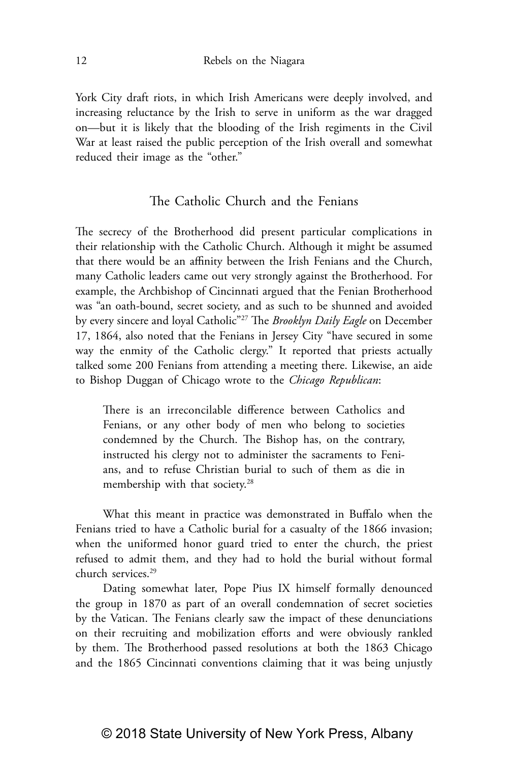York City draft riots, in which Irish Americans were deeply involved, and increasing reluctance by the Irish to serve in uniform as the war dragged on—but it is likely that the blooding of the Irish regiments in the Civil War at least raised the public perception of the Irish overall and somewhat reduced their image as the "other."

## The Catholic Church and the Fenians

The secrecy of the Brotherhood did present particular complications in their relationship with the Catholic Church. Although it might be assumed that there would be an affinity between the Irish Fenians and the Church, many Catholic leaders came out very strongly against the Brotherhood. For example, the Archbishop of Cincinnati argued that the Fenian Brotherhood was "an oath-bound, secret society, and as such to be shunned and avoided by every sincere and loyal Catholic"27 The *Brooklyn Daily Eagle* on December 17, 1864, also noted that the Fenians in Jersey City "have secured in some way the enmity of the Catholic clergy." It reported that priests actually talked some 200 Fenians from attending a meeting there. Likewise, an aide to Bishop Duggan of Chicago wrote to the *Chicago Republican*:

There is an irreconcilable difference between Catholics and Fenians, or any other body of men who belong to societies condemned by the Church. The Bishop has, on the contrary, instructed his clergy not to administer the sacraments to Fenians, and to refuse Christian burial to such of them as die in membership with that society.<sup>28</sup>

What this meant in practice was demonstrated in Buffalo when the Fenians tried to have a Catholic burial for a casualty of the 1866 invasion; when the uniformed honor guard tried to enter the church, the priest refused to admit them, and they had to hold the burial without formal church services.<sup>29</sup>

Dating somewhat later, Pope Pius IX himself formally denounced the group in 1870 as part of an overall condemnation of secret societies by the Vatican. The Fenians clearly saw the impact of these denunciations on their recruiting and mobilization efforts and were obviously rankled by them. The Brotherhood passed resolutions at both the 1863 Chicago and the 1865 Cincinnati conventions claiming that it was being unjustly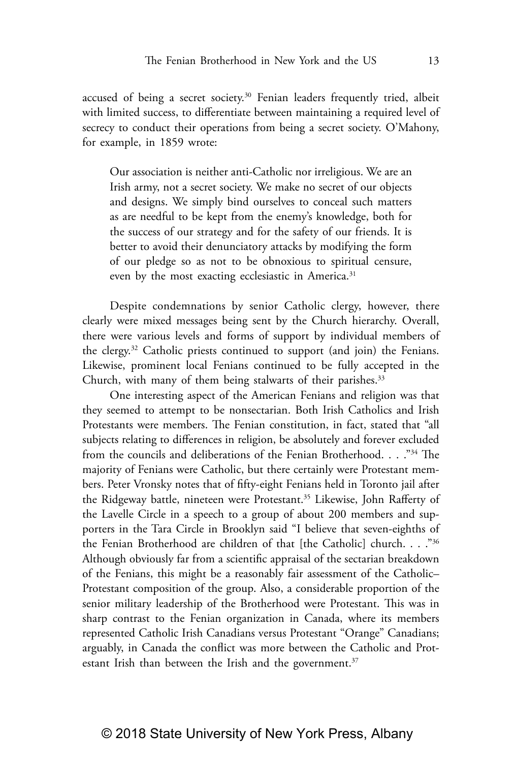accused of being a secret society.<sup>30</sup> Fenian leaders frequently tried, albeit with limited success, to differentiate between maintaining a required level of secrecy to conduct their operations from being a secret society. O'Mahony, for example, in 1859 wrote:

Our association is neither anti-Catholic nor irreligious. We are an Irish army, not a secret society. We make no secret of our objects and designs. We simply bind ourselves to conceal such matters as are needful to be kept from the enemy's knowledge, both for the success of our strategy and for the safety of our friends. It is better to avoid their denunciatory attacks by modifying the form of our pledge so as not to be obnoxious to spiritual censure, even by the most exacting ecclesiastic in America.<sup>31</sup>

Despite condemnations by senior Catholic clergy, however, there clearly were mixed messages being sent by the Church hierarchy. Overall, there were various levels and forms of support by individual members of the clergy.32 Catholic priests continued to support (and join) the Fenians. Likewise, prominent local Fenians continued to be fully accepted in the Church, with many of them being stalwarts of their parishes.<sup>33</sup>

One interesting aspect of the American Fenians and religion was that they seemed to attempt to be nonsectarian. Both Irish Catholics and Irish Protestants were members. The Fenian constitution, in fact, stated that "all subjects relating to differences in religion, be absolutely and forever excluded from the councils and deliberations of the Fenian Brotherhood. . . . "34 The majority of Fenians were Catholic, but there certainly were Protestant members. Peter Vronsky notes that of fifty-eight Fenians held in Toronto jail after the Ridgeway battle, nineteen were Protestant.<sup>35</sup> Likewise, John Rafferty of the Lavelle Circle in a speech to a group of about 200 members and supporters in the Tara Circle in Brooklyn said "I believe that seven-eighths of the Fenian Brotherhood are children of that [the Catholic] church. . . ."36 Although obviously far from a scientific appraisal of the sectarian breakdown of the Fenians, this might be a reasonably fair assessment of the Catholic– Protestant composition of the group. Also, a considerable proportion of the senior military leadership of the Brotherhood were Protestant. This was in sharp contrast to the Fenian organization in Canada, where its members represented Catholic Irish Canadians versus Protestant "Orange" Canadians; arguably, in Canada the conflict was more between the Catholic and Protestant Irish than between the Irish and the government. $37$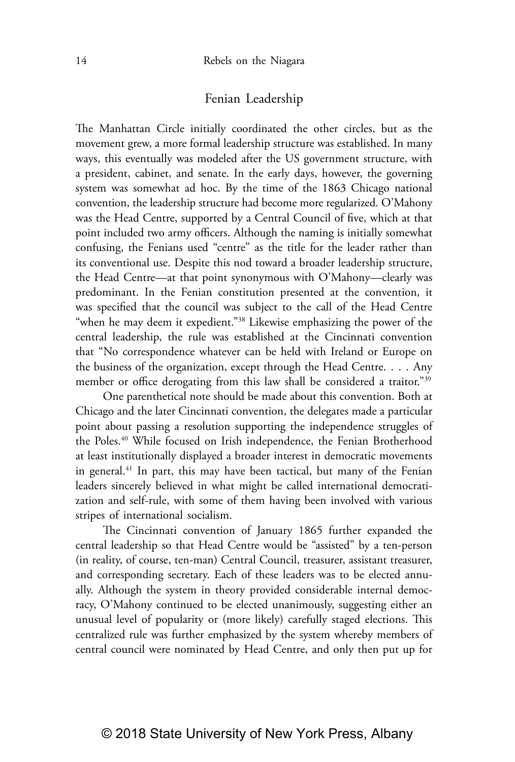# Fenian Leadership

The Manhattan Circle initially coordinated the other circles, but as the movement grew, a more formal leadership structure was established. In many ways, this eventually was modeled after the US government structure, with a president, cabinet, and senate. In the early days, however, the governing system was somewhat ad hoc. By the time of the 1863 Chicago national convention, the leadership structure had become more regularized. O'Mahony was the Head Centre, supported by a Central Council of five, which at that point included two army officers. Although the naming is initially somewhat confusing, the Fenians used "centre" as the title for the leader rather than its conventional use. Despite this nod toward a broader leadership structure, the Head Centre—at that point synonymous with O'Mahony—clearly was predominant. In the Fenian constitution presented at the convention, it was specified that the council was subject to the call of the Head Centre "when he may deem it expedient."<sup>38</sup> Likewise emphasizing the power of the central leadership, the rule was established at the Cincinnati convention that "No correspondence whatever can be held with Ireland or Europe on the business of the organization, except through the Head Centre. . . . Any member or office derogating from this law shall be considered a traitor."<sup>39</sup>

One parenthetical note should be made about this convention. Both at Chicago and the later Cincinnati convention, the delegates made a particular point about passing a resolution supporting the independence struggles of the Poles.40 While focused on Irish independence, the Fenian Brotherhood at least institutionally displayed a broader interest in democratic movements in general.<sup>41</sup> In part, this may have been tactical, but many of the Fenian leaders sincerely believed in what might be called international democratization and self-rule, with some of them having been involved with various stripes of international socialism.

The Cincinnati convention of January 1865 further expanded the central leadership so that Head Centre would be "assisted" by a ten-person (in reality, of course, ten-man) Central Council, treasurer, assistant treasurer, and corresponding secretary. Each of these leaders was to be elected annually. Although the system in theory provided considerable internal democracy, O'Mahony continued to be elected unanimously, suggesting either an unusual level of popularity or (more likely) carefully staged elections. This centralized rule was further emphasized by the system whereby members of central council were nominated by Head Centre, and only then put up for